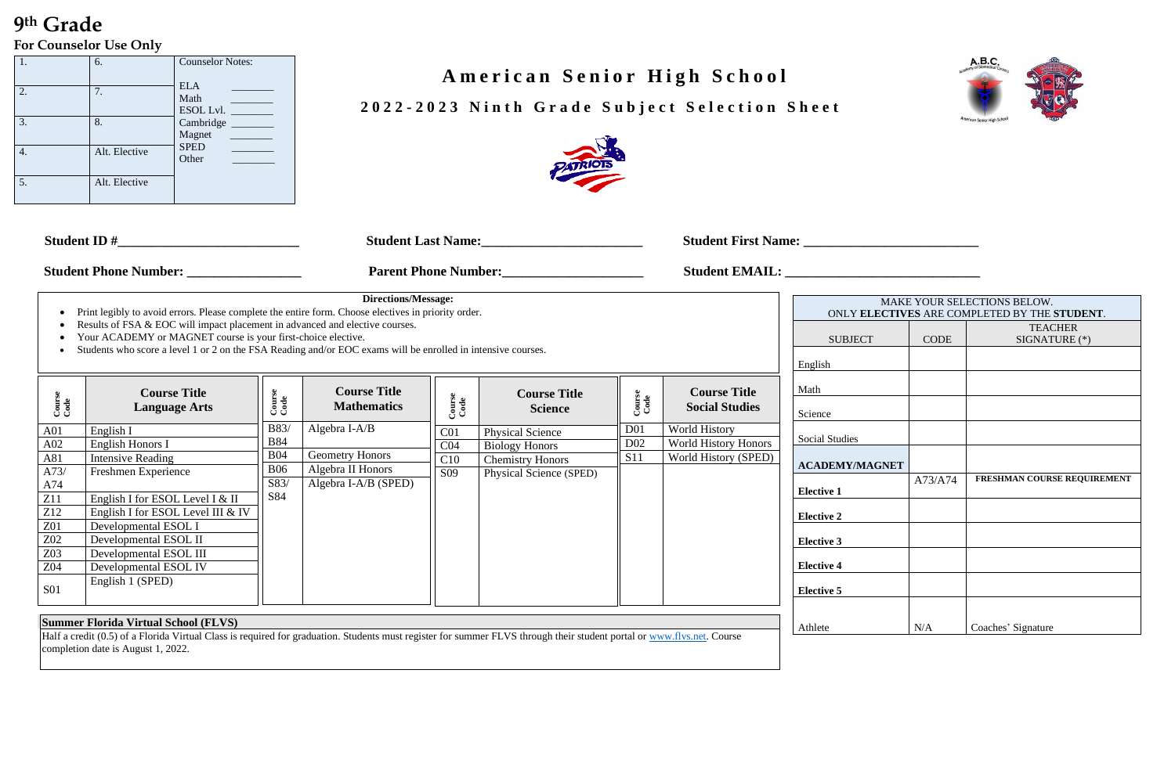# **9 th Grade For Counselor Use Only**

# **A m e r i c a n S e n i o r H i g h S c h o o l**

# **202 2 - 202 3 N i n t h G r a d e S u b j e c t S e l e c t i o n S h e e t**



| 1. | 6.            | <b>Counselor Notes:</b>                                  |
|----|---------------|----------------------------------------------------------|
| 2. | 7.            | <b>ELA</b><br>Math<br>ESOL Lvl. $\overline{\phantom{0}}$ |
| 3. | 8.            | Cambridge<br>Magnet                                      |
| 4. | Alt. Elective | <b>SPED</b><br>Other                                     |
| 5. | Alt. Elective |                                                          |

| MAKE YOUR SELECTIONS BELOW.<br>ONLY ELECTIVES ARE COMPLETED BY THE STUDENT. |             |                             |  |  |  |  |  |
|-----------------------------------------------------------------------------|-------------|-----------------------------|--|--|--|--|--|
|                                                                             |             |                             |  |  |  |  |  |
|                                                                             |             | <b>TEACHER</b>              |  |  |  |  |  |
| <b>SUBJECT</b>                                                              | <b>CODE</b> | SIGNATURE (*)               |  |  |  |  |  |
|                                                                             |             |                             |  |  |  |  |  |
| ı                                                                           |             |                             |  |  |  |  |  |
|                                                                             |             |                             |  |  |  |  |  |
|                                                                             |             |                             |  |  |  |  |  |
|                                                                             |             |                             |  |  |  |  |  |
|                                                                             |             |                             |  |  |  |  |  |
| $\ddot{\phantom{0}}$                                                        |             |                             |  |  |  |  |  |
|                                                                             |             |                             |  |  |  |  |  |
| <b>Studies</b>                                                              |             |                             |  |  |  |  |  |
|                                                                             |             |                             |  |  |  |  |  |
|                                                                             |             |                             |  |  |  |  |  |
| <b>EMY/MAGNET</b>                                                           |             |                             |  |  |  |  |  |
|                                                                             | A73/A74     | FRESHMAN COURSE REQUIREMENT |  |  |  |  |  |
| e 1                                                                         |             |                             |  |  |  |  |  |
|                                                                             |             |                             |  |  |  |  |  |
|                                                                             |             |                             |  |  |  |  |  |
| e 2                                                                         |             |                             |  |  |  |  |  |
|                                                                             |             |                             |  |  |  |  |  |
| e3                                                                          |             |                             |  |  |  |  |  |
|                                                                             |             |                             |  |  |  |  |  |
| e 4                                                                         |             |                             |  |  |  |  |  |
|                                                                             |             |                             |  |  |  |  |  |
|                                                                             |             |                             |  |  |  |  |  |
| e 5                                                                         |             |                             |  |  |  |  |  |
|                                                                             |             |                             |  |  |  |  |  |
|                                                                             |             |                             |  |  |  |  |  |
|                                                                             | N/A         | Coaches' Signature          |  |  |  |  |  |
|                                                                             |             |                             |  |  |  |  |  |

| <b>Student Phone Number:</b>                                                                                     |                                                                                                                                                                                                                                                                                                                                                                     |                                                                      | <b>Student Last Name:</b> Name:<br><b>Parent Phone Number:</b> Number:               |                                                              |                                                                                                        |                               |                                                                      |                                                                                                                                                         |                                       |               |
|------------------------------------------------------------------------------------------------------------------|---------------------------------------------------------------------------------------------------------------------------------------------------------------------------------------------------------------------------------------------------------------------------------------------------------------------------------------------------------------------|----------------------------------------------------------------------|--------------------------------------------------------------------------------------|--------------------------------------------------------------|--------------------------------------------------------------------------------------------------------|-------------------------------|----------------------------------------------------------------------|---------------------------------------------------------------------------------------------------------------------------------------------------------|---------------------------------------|---------------|
|                                                                                                                  |                                                                                                                                                                                                                                                                                                                                                                     |                                                                      |                                                                                      |                                                              |                                                                                                        |                               |                                                                      |                                                                                                                                                         |                                       |               |
| $\bullet$                                                                                                        | Print legibly to avoid errors. Please complete the entire form. Choose electives in priority order.<br>Results of FSA & EOC will impact placement in advanced and elective courses.<br>Your ACADEMY or MAGNET course is your first-choice elective.<br>Students who score a level 1 or 2 on the FSA Reading and/or EOC exams will be enrolled in intensive courses. |                                                                      | Directions/Message:                                                                  |                                                              |                                                                                                        |                               |                                                                      | <b>ONLY ELECTIVES ARE COMPI</b><br><b>SUBJECT</b><br>English                                                                                            | <b>MAKE YOUR SELEC</b><br><b>CODE</b> |               |
| Course<br>Code                                                                                                   | <b>Course Title</b><br><b>Language Arts</b>                                                                                                                                                                                                                                                                                                                         | Course<br>Code                                                       | <b>Course Title</b><br><b>Mathematics</b>                                            | Course<br>Code                                               | <b>Course Title</b><br><b>Science</b>                                                                  | Course<br>Code                | <b>Course Title</b><br><b>Social Studies</b>                         | Math<br>Science                                                                                                                                         |                                       |               |
| A <sub>01</sub><br>A02<br>A81<br>A73/<br>A74<br>Z11<br>Z12<br>Z01<br>Z02<br>Z <sub>03</sub><br>Z04<br><b>S01</b> | English I<br>English Honors I<br><b>Intensive Reading</b><br>Freshmen Experience<br>English I for ESOL Level I & II<br>English I for ESOL Level III & IV<br>Developmental ESOL I<br>Developmental ESOL II<br>Developmental ESOL III<br>Developmental ESOL IV<br>English 1 (SPED)                                                                                    | <b>B83/</b><br><b>B84</b><br><b>B04</b><br><b>B06</b><br>S83/<br>S84 | Algebra I-A/B<br><b>Geometry Honors</b><br>Algebra II Honors<br>Algebra I-A/B (SPED) | C <sub>01</sub><br>CO <sub>4</sub><br>C10<br>S <sub>09</sub> | <b>Physical Science</b><br><b>Biology Honors</b><br><b>Chemistry Honors</b><br>Physical Science (SPED) | D <sub>01</sub><br>D02<br>S11 | World History<br><b>World History Honors</b><br>World History (SPED) | <b>Social Studies</b><br><b>ACADEMY/MAGNET</b><br><b>Elective 1</b><br><b>Elective 2</b><br><b>Elective 3</b><br><b>Elective 4</b><br><b>Elective 5</b> | A73/A74                               |               |
|                                                                                                                  | <b>Summer Florida Virtual School (FLVS)</b><br>Half a credit (0.5) of a Florida Virtual Class is required for graduation. Students must register for summer FLVS through their student portal or www.flys.net. Course                                                                                                                                               |                                                                      |                                                                                      |                                                              |                                                                                                        |                               |                                                                      | Athlete                                                                                                                                                 | N/A                                   | $\mathcal{C}$ |